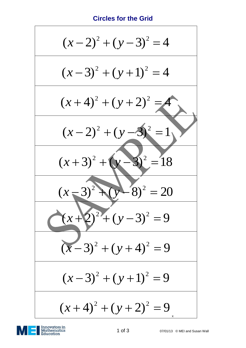## **Circles for the Grid**

*x y* 2 2 1 of 3 07/01/13 © MEI and Susan Wall ( 2) ( 3) 4 2 2 ( 3) ( 1) 4 *x y* 2 2 ( 4) ( 2) 4 *x y* 2 2 ( 2) ( 3) 1 *x y* ( 3) ( 3) 18 <sup>2</sup> <sup>2</sup> *x y* ( 3) ( 8) 20 <sup>2</sup> <sup>2</sup> *x y* ( 2) ( 3) 9 *x y* 2 2 2 2 ( 3) ( 4) 9 *x y* 2 2 ( 3) ( 1) 9 *x y* 2 2 ( 4) ( 2) 9 *x y* x

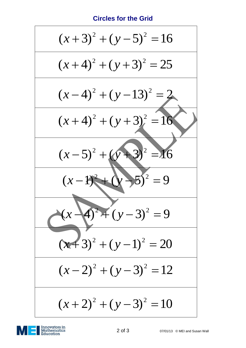## **Circles for the Grid**

$$
(x+3)^2 + (y-5)^2 = 16
$$
  
\n
$$
(x+4)^2 + (y+3)^2 = 25
$$
  
\n
$$
(x-4)^2 + (y-13)^2 = 2
$$
  
\n
$$
(x+4)^2 + (y+3)^2 = 16
$$
  
\n
$$
(x-5)^2 + (y+3)^2 = 16
$$
  
\n
$$
(x-1)^2 + (y-3)^2 = 9
$$
  
\n
$$
(x+3)^2 + (y-1)^2 = 20
$$
  
\n
$$
(x-2)^2 + (y-3)^2 = 12
$$
  
\n
$$
(x+2)^2 + (y-3)^2 = 10
$$